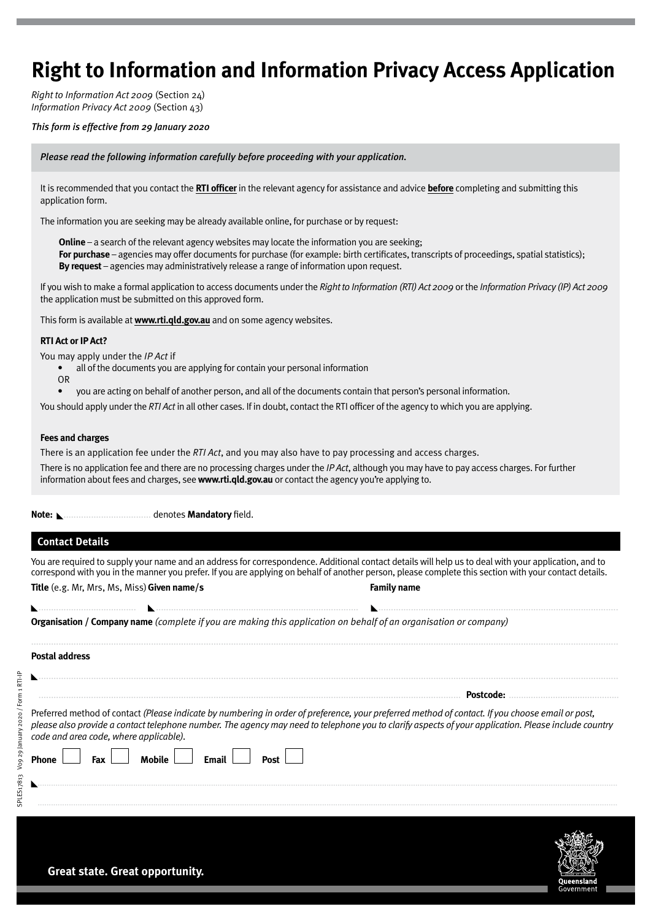# **Right to Information and Information Privacy Access Application**

*Right to Information Act 2009* (Section 24) *Information Privacy Act 2009* (Section 43)

## *This form is effective from 29 January 2020*

*Please read the following information carefully before proceeding with your application.*

It is recommended that you contact the **RTI officer** in the relevant agency for assistance and advice **before** completing and submitting this application form.

The information you are seeking may be already available online, for purchase or by request:

**Online** – a search of the relevant agency websites may locate the information you are seeking; **For purchase** – agencies may offer documents for purchase (for example: birth certificates, transcripts of proceedings, spatial statistics); **By request** – agencies may administratively release a range of information upon request.

If you wish to make a formal application to access documents under the *Right to Information (RTI) Act 2009* or the *Information Privacy (IP) Act 2009* the application must be submitted on this approved form.

This form is available at **www.rti.qld.gov.au** and on some agency websites.

### **RTI Act or IP Act?**

You may apply under the *IP Act* if

- all of the documents you are applying for contain your personal information
- OR
- you are acting on behalf of another person, and all of the documents contain that person's personal information.

You should apply under the *RTI Act* in all other cases. If in doubt, contact the RTI officer of the agency to which you are applying.

#### **Fees and charges**

There is an application fee under the *RTI Act*, and you may also have to pay processing and access charges. There is no application fee and there are no processing charges under the *IP Act*, although you may have to pay access charges. For further information about fees and charges, see **www.rti.qld.gov.au** or contact the agency you're applying to.

**Note:** ................................... denotes **Mandatory** field.

## **Contact Details**

SPLES17813 V09 29 January 2020 / Form 1 RTI-IP

SPLES17813

Vo9 29 January 2020 / Form 1 RTI-IP

You are required to supply your name and an address for correspondence. Additional contact details will help us to deal with your application, and to correspond with you in the manner you prefer. If you are applying on behalf of another person, please complete this section with your contact details. **Title** (e.g. Mr, Mrs, Ms, Miss)**Given name/s Family name**

|  |  |  |  | <b>Organisation / Company name</b> (complete if you are making this application on behalf of an organisation or company) |  |
|--|--|--|--|--------------------------------------------------------------------------------------------------------------------------|--|
|  |  |  |  |                                                                                                                          |  |

....................................... ................................................................................. ................................................................................................

........................................................................................................................................................................................................................................... **Postal address** ........................................................................................................................................................................................................................................ ......................................................................................................................................................................... **Postcode:** ............................................. Preferred method of contact *(Please indicate by numbering in order of preference, your preferred method of contact. If you choose email or post, please also provide a contact telephone number. The agency may need to telephone you to clarify aspects of your application. Please include country code and area code, where applicable).* **Phone Fax Mobile Email Post** 

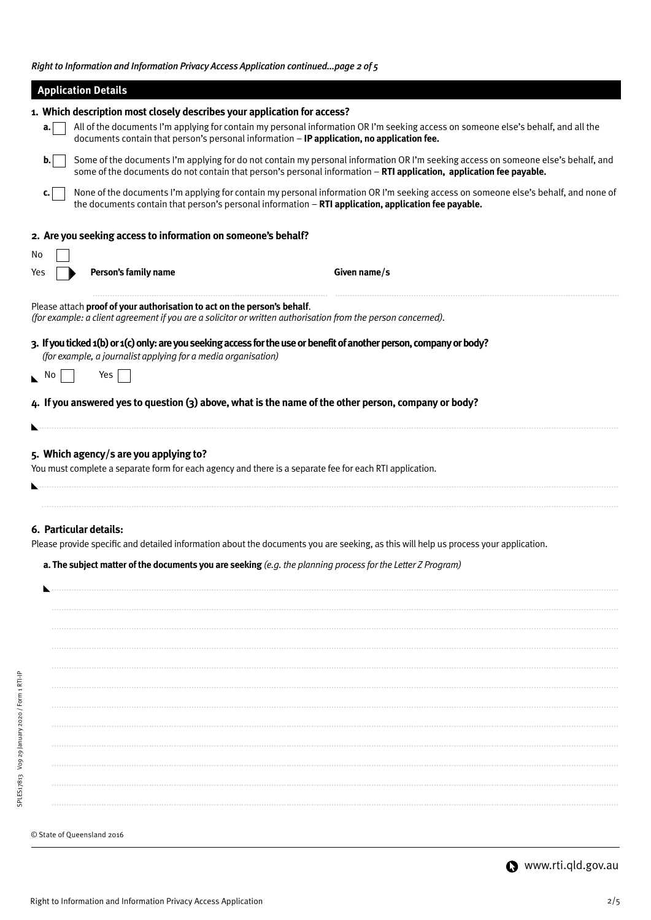*Right to Information and Information Privacy Access Application continued...page 2 of 5*

|                            | <b>Application Details</b>                                                                                                                                                                                                                               |
|----------------------------|----------------------------------------------------------------------------------------------------------------------------------------------------------------------------------------------------------------------------------------------------------|
|                            | 1. Which description most closely describes your application for access?                                                                                                                                                                                 |
| a.                         | All of the documents I'm applying for contain my personal information OR I'm seeking access on someone else's behalf, and all the<br>documents contain that person's personal information - IP application, no application fee.                          |
| b.                         | Some of the documents I'm applying for do not contain my personal information OR I'm seeking access on someone else's behalf, and<br>some of the documents do not contain that person's personal information - RTI application, application fee payable. |
| c.                         | None of the documents I'm applying for contain my personal information OR I'm seeking access on someone else's behalf, and none of<br>the documents contain that person's personal information - RTI application, application fee payable.               |
|                            | 2. Are you seeking access to information on someone's behalf?                                                                                                                                                                                            |
| No                         |                                                                                                                                                                                                                                                          |
| Yes                        | Person's family name<br>Given name/s                                                                                                                                                                                                                     |
|                            | Please attach proof of your authorisation to act on the person's behalf.<br>(for example: a client agreement if you are a solicitor or written authorisation from the person concerned).                                                                 |
|                            | 3. If you ticked 1(b) or 1(c) only: are you seeking access for the use or benefit of another person, company or body?<br>(for example, a journalist applying for a media organisation)                                                                   |
| $\mathbb{R}$ No            | Yes                                                                                                                                                                                                                                                      |
|                            | 4. If you answered yes to question (3) above, what is the name of the other person, company or body?                                                                                                                                                     |
|                            |                                                                                                                                                                                                                                                          |
|                            | 5. Which agency/s are you applying to?<br>You must complete a separate form for each agency and there is a separate fee for each RTI application.                                                                                                        |
| 6. Particular details:     | Please provide specific and detailed information about the documents you are seeking, as this will help us process your application.<br>a. The subject matter of the documents you are seeking $(e.g.$ the planning process for the Letter Z Program)    |
|                            |                                                                                                                                                                                                                                                          |
|                            |                                                                                                                                                                                                                                                          |
|                            |                                                                                                                                                                                                                                                          |
|                            |                                                                                                                                                                                                                                                          |
|                            |                                                                                                                                                                                                                                                          |
|                            |                                                                                                                                                                                                                                                          |
|                            |                                                                                                                                                                                                                                                          |
|                            |                                                                                                                                                                                                                                                          |
|                            |                                                                                                                                                                                                                                                          |
|                            |                                                                                                                                                                                                                                                          |
|                            |                                                                                                                                                                                                                                                          |
|                            |                                                                                                                                                                                                                                                          |
| © State of Queensland 2016 |                                                                                                                                                                                                                                                          |

SPLES17813 V09 29 January 2020 / Form 1 RTI-IP

SPLES17813 Vog 29 January 2020 / Form 1 RTI-IP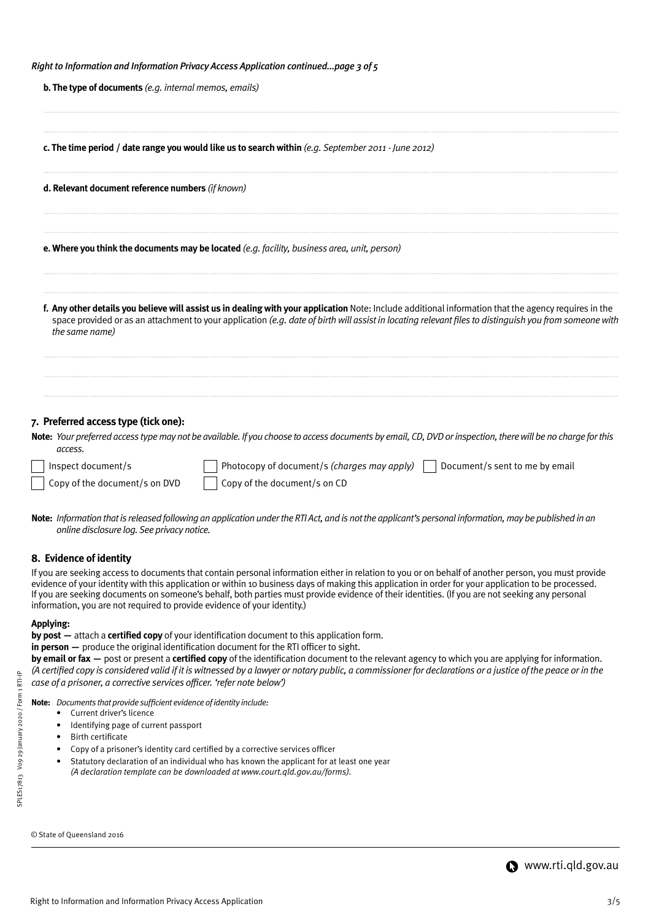|  | Right to Information and Information Privacy Access Application continuedpage 3 of 5 |  |  |
|--|--------------------------------------------------------------------------------------|--|--|
|  |                                                                                      |  |  |

| <b>b. The type of documents</b> (e.g. internal memos, emails)                                                                                                                                                                                                                                                                     |
|-----------------------------------------------------------------------------------------------------------------------------------------------------------------------------------------------------------------------------------------------------------------------------------------------------------------------------------|
| c. The time period / date range you would like us to search within (e.g. September 2011 - June 2012)                                                                                                                                                                                                                              |
| d. Relevant document reference numbers (if known)                                                                                                                                                                                                                                                                                 |
| <b>e. Where you think the documents may be located</b> (e.g. facility, business area, unit, person)                                                                                                                                                                                                                               |
| f. Any other details you believe will assist us in dealing with your application Note: Include additional information that the agency requires in the<br>space provided or as an attachment to your application (e.g. date of birth will assist in locating relevant files to distinguish you from someone with<br>the same name) |
| 7. Preferred access type (tick one):<br>Note: Your preferred access type may not be available. If you choose to access documents by email, CD, DVD or inspection, there will be no charge for this                                                                                                                                |
| access.<br>Photocopy of document/s (charges may apply) $\vert$<br>Document/s sent to me by email<br>Inspect document/s<br>Copy of the document/s on DVD<br>Copy of the document/s on CD                                                                                                                                           |

**Note:** *Information that is released following an application under the RTI Act, and is not the applicant's personal information, may be published in an online disclosure log. See privacy notice.*

## **8. Evidence of identity**

If you are seeking access to documents that contain personal information either in relation to you or on behalf of another person, you must provide evidence of your identity with this application or within 10 business days of making this application in order for your application to be processed. If you are seeking documents on someone's behalf, both parties must provide evidence of their identities. (If you are not seeking any personal information, you are not required to provide evidence of your identity.)

#### **Applying:**

 $\sqrt{2}$ 

**by post —** attach a **certified copy** of your identification document to this application form.

**in person —** produce the original identification document for the RTI officer to sight.

**by email or fax —** post or present a **certified copy** of the identification document to the relevant agency to which you are applying for information. *(A certified copy is considered valid if it is witnessed by a lawyer or notary public, a commissioner for declarations or a justice of the peace or in the case of a prisoner, a corrective services officer. 'refer note below')*

**Note:** *Documents that provide sufficient evidence of identity include:*

- Current driver's licence
- Identifying page of current passport
- Birth certificate
- Copy of a prisoner's identity card certified by a corrective services officer
- Statutory declaration of an individual who has known the applicant for at least one year *(A declaration template can be downloaded at www.court.qld.gov.au/forms).*

© State of Queensland 2016

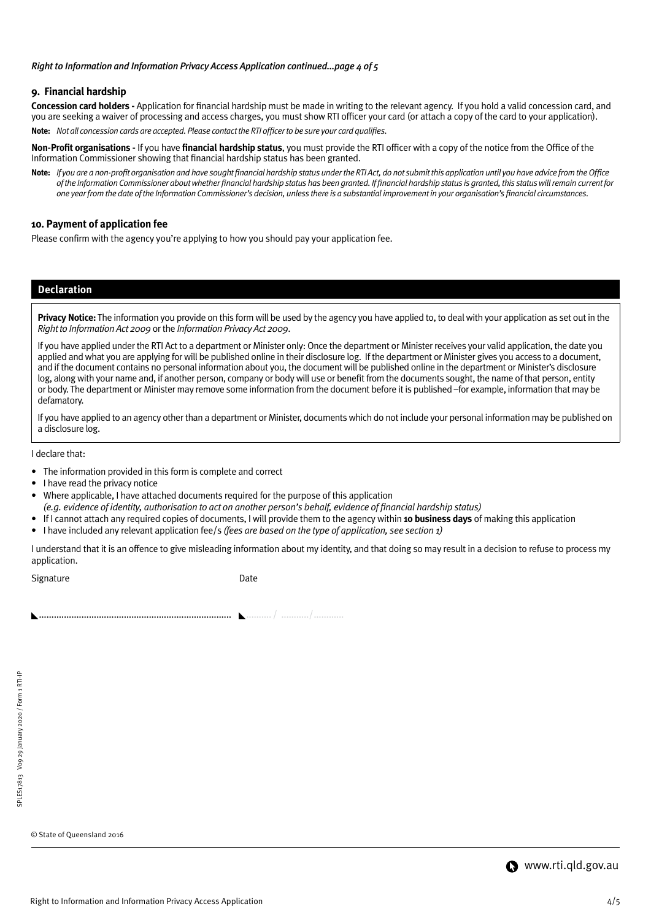#### *Right to Information and Information Privacy Access Application continued...page 4 of 5*

## **9. Financial hardship**

**Concession card holders -** Application for financial hardship must be made in writing to the relevant agency. If you hold a valid concession card, and you are seeking a waiver of processing and access charges, you must show RTI officer your card (or attach a copy of the card to your application). **Note:** *Not all concession cards are accepted. Please contact the RTI officer to be sure your card qualifies.*

**Non-Profit organisations -** If you have **financial hardship status**, you must provide the RTI officer with a copy of the notice from the Office of the Information Commissioner showing that financial hardship status has been granted.

**Note:** *If you are a non-profit organisation and have sought financial hardship status under the RTI Act, do not submit this application until you have advice from the Office of the Information Commissioner about whether financial hardship status has been granted. If financial hardship status is granted, this status will remain current for one year from the date of the Information Commissioner's decision, unless there is a substantial improvement in your organisation's financial circumstances.*

## **10. Payment of application fee**

Please confirm with the agency you're applying to how you should pay your application fee.

## **Declaration**

**Privacy Notice:** The information you provide on this form will be used by the agency you have applied to, to deal with your application as set out in the *Right to Information Act 2009* or the *Information Privacy Act 2009*.

If you have applied under the RTI Act to a department or Minister only: Once the department or Minister receives your valid application, the date you applied and what you are applying for will be published online in their disclosure log. If the department or Minister gives you access to a document, and if the document contains no personal information about you, the document will be published online in the department or Minister's disclosure log, along with your name and, if another person, company or body will use or benefit from the documents sought, the name of that person, entity or body. The department or Minister may remove some information from the document before it is published –for example, information that may be defamatory.

If you have applied to an agency other than a department or Minister, documents which do not include your personal information may be published on a disclosure log.

I declare that:

- The information provided in this form is complete and correct
- I have read the privacy notice
- Where applicable, I have attached documents required for the purpose of this application
- *(e.g. evidence of identity, authorisation to act on another person's behalf, evidence of financial hardship status)*
- If I cannot attach any required copies of documents, I will provide them to the agency within **10 business days** of making this application
- I have included any relevant application fee/s *(fees are based on the type of application, see section 1)*

I understand that it is an offence to give misleading information about my identity, and that doing so may result in a decision to refuse to process my application.

Signature Date

............................................................................. .......... / .........../............

© State of Queensland 2016